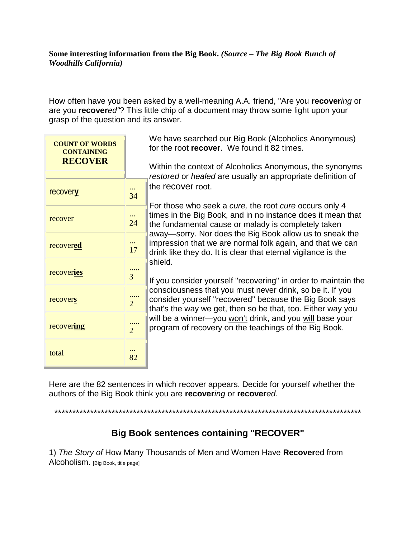## **Some interesting information from the Big Book.** *(Source – The Big Book Bunch of Woodhills California)*

How often have you been asked by a well-meaning A.A. friend, "Are you **recover***ing* or are you **recover***ed"*? This little chip of a document may throw some light upon your grasp of the question and its answer.

| <b>COUNT OF WORDS</b><br><b>CONTAINING</b><br><b>RECOVER</b> |                | We have searched our Big Book (Alcoholics Anonymous)<br>for the root recover. We found it 82 times.                                                                                                                                                                                                                                                                                                                                                                                                                                                                                                                                                                                                                                                                                 |  |
|--------------------------------------------------------------|----------------|-------------------------------------------------------------------------------------------------------------------------------------------------------------------------------------------------------------------------------------------------------------------------------------------------------------------------------------------------------------------------------------------------------------------------------------------------------------------------------------------------------------------------------------------------------------------------------------------------------------------------------------------------------------------------------------------------------------------------------------------------------------------------------------|--|
|                                                              |                | Within the context of Alcoholics Anonymous, the synonyms<br>restored or healed are usually an appropriate definition of                                                                                                                                                                                                                                                                                                                                                                                                                                                                                                                                                                                                                                                             |  |
| <b>recovery</b>                                              | <br>34         | the recover root.<br>For those who seek a cure, the root cure occurs only 4<br>times in the Big Book, and in no instance does it mean that<br>the fundamental cause or malady is completely taken<br>away—sorry. Nor does the Big Book allow us to sneak the<br>impression that we are normal folk again, and that we can<br>drink like they do. It is clear that eternal vigilance is the<br>shield.<br>If you consider yourself "recovering" in order to maintain the<br>consciousness that you must never drink, so be it. If you<br>consider yourself "recovered" because the Big Book says<br>that's the way we get, then so be that, too. Either way you<br>will be a winner-you won't drink, and you will base your<br>program of recovery on the teachings of the Big Book. |  |
| recover                                                      | $\cdots$<br>24 |                                                                                                                                                                                                                                                                                                                                                                                                                                                                                                                                                                                                                                                                                                                                                                                     |  |
| recovered                                                    | <br>17         |                                                                                                                                                                                                                                                                                                                                                                                                                                                                                                                                                                                                                                                                                                                                                                                     |  |
| recoveries                                                   | .<br>3         |                                                                                                                                                                                                                                                                                                                                                                                                                                                                                                                                                                                                                                                                                                                                                                                     |  |
| recovers                                                     | $\overline{2}$ |                                                                                                                                                                                                                                                                                                                                                                                                                                                                                                                                                                                                                                                                                                                                                                                     |  |
| recovering                                                   | $\overline{2}$ |                                                                                                                                                                                                                                                                                                                                                                                                                                                                                                                                                                                                                                                                                                                                                                                     |  |
| total                                                        | $\cdots$<br>82 |                                                                                                                                                                                                                                                                                                                                                                                                                                                                                                                                                                                                                                                                                                                                                                                     |  |

Here are the 82 sentences in which recover appears. Decide for yourself whether the authors of the Big Book think you are **recover***ing* or **recover***ed*.

\*\*\*\*\*\*\*\*\*\*\*\*\*\*\*\*\*\*\*\*\*\*\*\*\*\*\*\*\*\*\*\*\*\*\*\*\*\*\*\*\*\*\*\*\*\*\*\*\*\*\*\*\*\*\*\*\*\*\*\*\*\*\*\*\*\*\*\*\*\*\*\*\*\*\*\*\*\*\*\*\*\*\*\*\*\*

## **Big Book sentences containing "RECOVER"**

1) *The Story of* How Many Thousands of Men and Women Have **Recover**ed from Alcoholism. [Big Book, title page]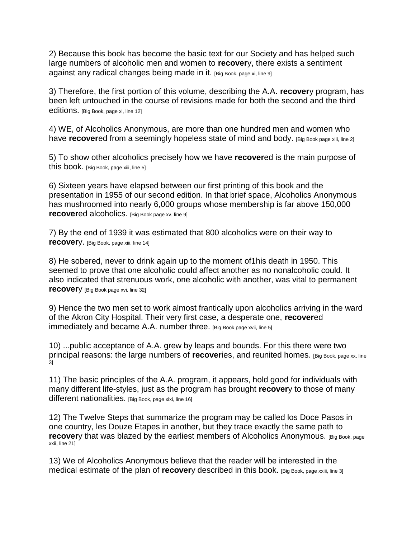2) Because this book has become the basic text for our Society and has helped such large numbers of alcoholic men and women to **recover**y, there exists a sentiment against any radical changes being made in it. [Big Book, page xi, line 9]

3) Therefore, the first portion of this volume, describing the A.A. **recover**y program, has been left untouched in the course of revisions made for both the second and the third editions. [Big Book, page xi, line 12]

4) WE, of Alcoholics Anonymous, are more than one hundred men and women who have **recover**ed from a seemingly hopeless state of mind and body. [Big Book page xiii, line 2]

5) To show other alcoholics precisely how we have **recover**ed is the main purpose of this book. [Big Book, page xiii, line 5]

6) Sixteen years have elapsed between our first printing of this book and the presentation in 1955 of our second edition. In that brief space, Alcoholics Anonymous has mushroomed into nearly 6,000 groups whose membership is far above 150,000 **recover**ed alcoholics. [Big Book page xv, line 9]

7) By the end of 1939 it was estimated that 800 alcoholics were on their way to **recovery.** [Big Book, page xiii, line 14]

8) He sobered, never to drink again up to the moment of1his death in 1950. This seemed to prove that one alcoholic could affect another as no nonalcoholic could. It also indicated that strenuous work, one alcoholic with another, was vital to permanent **recover**y [Big Book page xvi, line 32]

9) Hence the two men set to work almost frantically upon alcoholics arriving in the ward of the Akron City Hospital. Their very first case, a desperate one, **recover**ed immediately and became A.A. number three. [Big Book page xvii, line 5]

10) ...public acceptance of A.A. grew by leaps and bounds. For this there were two principal reasons: the large numbers of **recover**ies, and reunited homes. [Big Book, page xx, line .<br>31

11) The basic principles of the A.A. program, it appears, hold good for individuals with many different life-styles, just as the program has brought **recover**y to those of many different nationalities. [Big Book, page xixi, line 16]

12) The Twelve Steps that summarize the program may be called los Doce Pasos in one country, les Douze Etapes in another, but they trace exactly the same path to **recover**y that was blazed by the earliest members of Alcoholics Anonymous. [Big Book, page] xxii, line 21]

13) We of Alcoholics Anonymous believe that the reader will be interested in the medical estimate of the plan of **recover**y described in this book. [Big Book, page xxiii, line 3]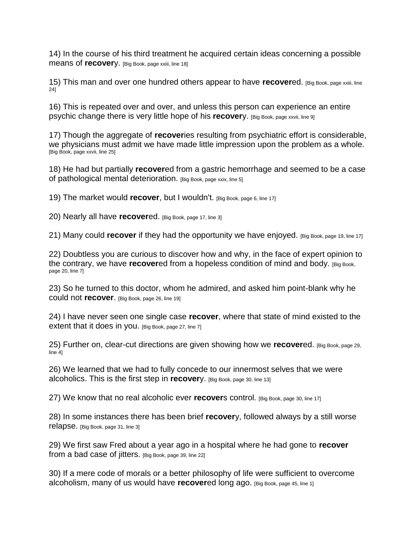14) In the course of his third treatment he acquired certain ideas concerning a possible means of **recover**y. [Big Book, page xxiii, line 18]

15) This man and over one hundred others appear to have **recover**ed. [Big Book, page xxiii, line 24]

16) This is repeated over and over, and unless this person can experience an entire psychic change there is very little hope of his **recover**y. [Big Book, page xxvii, line 9]

17) Though the aggregate of **recover**ies resulting from psychiatric effort is considerable, we physicians must admit we have made little impression upon the problem as a whole. [Big Book, page xxvii, line 25]

18) He had but partially **recover**ed from a gastric hemorrhage and seemed to be a case of pathological mental deterioration. [Big Book, page xxix, line 5]

19) The market would **recover**, but I wouldn't. [Big Book, page 6, line 17]

20) Nearly all have **recover**ed. [Big Book, page 17, line 3]

21) Many could **recover** if they had the opportunity we have enjoyed. [Big Book, page 19, line 17]

22) Doubtless you are curious to discover how and why, in the face of expert opinion to the contrary, we have **recover**ed from a hopeless condition of mind and body. [Big Book, page 20, line 7]

23) So he turned to this doctor, whom he admired, and asked him point-blank why he could not **recover**. [Big Book, page 26, line 19]

24) I have never seen one single case **recover**, where that state of mind existed to the extent that it does in you. [Big Book, page 27, line 7]

25) Further on, clear-cut directions are given showing how we **recover**ed. [Big Book, page 29, line 4]

26) We learned that we had to fully concede to our innermost selves that we were alcoholics. This is the first step in **recover**y. [Big Book, page 30, line 13]

27) We know that no real alcoholic ever **recover**s control. [Big Book, page 30, line 17]

28) In some instances there has been brief **recover**y, followed always by a still worse relapse. [Big Book, page 31, line 3]

29) We first saw Fred about a year ago in a hospital where he had gone to **recover** from a bad case of jitters. [Big Book, page 39, line 22]

30) If a mere code of morals or a better philosophy of life were sufficient to overcome alcoholism, many of us would have **recover**ed long ago. [Big Book, page 45, line 1]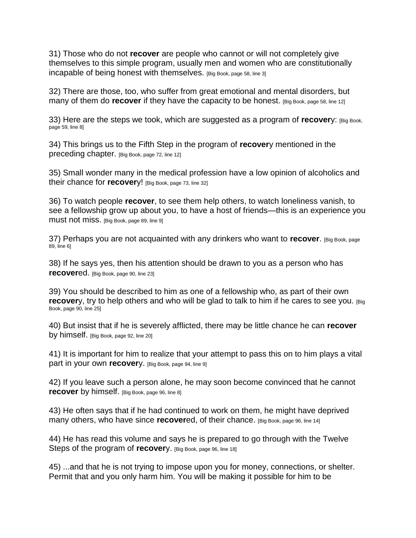31) Those who do not **recover** are people who cannot or will not completely give themselves to this simple program, usually men and women who are constitutionally incapable of being honest with themselves. [Big Book, page 58, line 3]

32) There are those, too, who suffer from great emotional and mental disorders, but many of them do **recover** if they have the capacity to be honest. [Big Book, page 58, line 12]

33) Here are the steps we took, which are suggested as a program of **recover**y: [Big Book, page 59, line 8]

34) This brings us to the Fifth Step in the program of **recover**y mentioned in the preceding chapter. [Big Book, page 72, line 12]

35) Small wonder many in the medical profession have a low opinion of alcoholics and their chance for **recovery!** [Big Book, page 73, line 32]

36) To watch people **recover**, to see them help others, to watch loneliness vanish, to see a fellowship grow up about you, to have a host of friends—this is an experience you must not miss. [Big Book, page 89, line 9]

37) Perhaps you are not acquainted with any drinkers who want to **recover**. [Big Book, page 89, line 6]

38) If he says yes, then his attention should be drawn to you as a person who has **recover**ed. [Big Book, page 90, line 23]

39) You should be described to him as one of a fellowship who, as part of their own **recover**y, try to help others and who will be glad to talk to him if he cares to see you. [Big] Book, page 90, line 25]

40) But insist that if he is severely afflicted, there may be little chance he can **recover** by himself. [Big Book, page 92, line 20]

41) It is important for him to realize that your attempt to pass this on to him plays a vital part in your own **recover**y. [Big Book, page 94, line 9]

42) If you leave such a person alone, he may soon become convinced that he cannot **recover** by himself. [Big Book, page 96, line 8]

43) He often says that if he had continued to work on them, he might have deprived many others, who have since **recover**ed, of their chance. [Big Book, page 96, line 14]

44) He has read this volume and says he is prepared to go through with the Twelve Steps of the program of **recover**y. [Big Book, page 96, line 18]

45) ...and that he is not trying to impose upon you for money, connections, or shelter. Permit that and you only harm him. You will be making it possible for him to be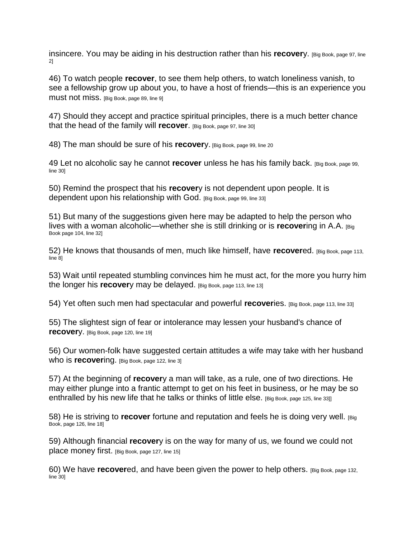insincere. You may be aiding in his destruction rather than his **recover**y. [Big Book, page 97, line 2]

46) To watch people **recover**, to see them help others, to watch loneliness vanish, to see a fellowship grow up about you, to have a host of friends—this is an experience you must not miss. [Big Book, page 89, line 9]

47) Should they accept and practice spiritual principles, there is a much better chance that the head of the family will **recover**. [Big Book, page 97, line 30]

48) The man should be sure of his **recover**y. [Big Book, page 99, line 20]

49 Let no alcoholic say he cannot **recover** unless he has his family back. [Big Book, page 99, line 30]

50) Remind the prospect that his **recover**y is not dependent upon people. It is dependent upon his relationship with God. [Big Book, page 99, line 33]

51) But many of the suggestions given here may be adapted to help the person who lives with a woman alcoholic—whether she is still drinking or is **recover**ing in A.A. [Big Book page 104, line 32]

52) He knows that thousands of men, much like himself, have **recover**ed. [Big Book, page 113, line 8]

53) Wait until repeated stumbling convinces him he must act, for the more you hurry him the longer his **recover**y may be delayed. [Big Book, page 113, line 13]

54) Yet often such men had spectacular and powerful **recover**ies. [Big Book, page 113, line 33]

55) The slightest sign of fear or intolerance may lessen your husband's chance of **recover**y. [Big Book, page 120, line 19]

56) Our women-folk have suggested certain attitudes a wife may take with her husband Who is **recovering.** [Big Book, page 122, line 3]

57) At the beginning of **recover**y a man will take, as a rule, one of two directions. He may either plunge into a frantic attempt to get on his feet in business, or he may be so enthralled by his new life that he talks or thinks of little else, [Big Book, page 125, line 33]]

58) He is striving to **recover** fortune and reputation and feels he is doing very well. [Big Book, page 126, line 18]

59) Although financial **recover**y is on the way for many of us, we found we could not place money first. [Big Book, page 127, line 15]

60) We have **recover**ed, and have been given the power to help others. [Big Book, page 132, line 30]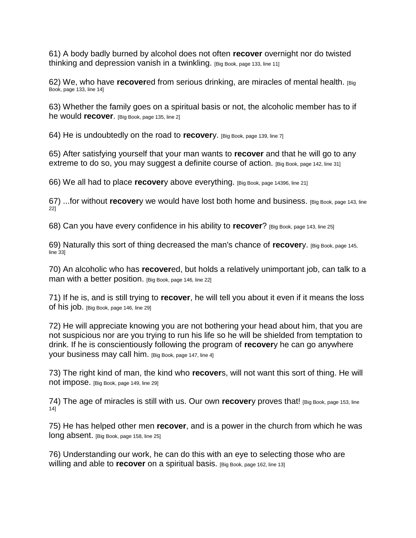61) A body badly burned by alcohol does not often **recover** overnight nor do twisted thinking and depression vanish in a twinkling. [Big Book, page 133, line 11]

62) We, who have **recover**ed from serious drinking, are miracles of mental health. [Big Book, page 133, line 14]

63) Whether the family goes on a spiritual basis or not, the alcoholic member has to if he would **recover**. [Big Book, page 135, line 2]

64) He is undoubtedly on the road to **recover**y. [Big Book, page 139, line 7]

65) After satisfying yourself that your man wants to **recover** and that he will go to any extreme to do so, you may suggest a definite course of action. [Big Book, page 142, line 31]

66) We all had to place **recover**y above everything. [Big Book, page 14396, line 21]

67) ...for without **recover**y we would have lost both home and business. [Big Book, page 143, line 22]

68) Can you have every confidence in his ability to **recover**? [Big Book, page 143, line 25]

69) Naturally this sort of thing decreased the man's chance of **recover**y. [Big Book, page 145, line 33]

70) An alcoholic who has **recover**ed, but holds a relatively unimportant job, can talk to a man with a better position. [Big Book, page 146, line 22]

71) If he is, and is still trying to **recover**, he will tell you about it even if it means the loss of his job. [Big Book, page 146, line 29]

72) He will appreciate knowing you are not bothering your head about him, that you are not suspicious nor are you trying to run his life so he will be shielded from temptation to drink. If he is conscientiously following the program of **recover**y he can go anywhere your business may call him. [Big Book, page 147, line 4]

73) The right kind of man, the kind who **recover**s, will not want this sort of thing. He will not impose. [Big Book, page 149, line 29]

74) The age of miracles is still with us. Our own **recover**y proves that! [Big Book, page 153, line 14]

75) He has helped other men **recover**, and is a power in the church from which he was long absent. [Big Book, page 158, line 25]

76) Understanding our work, he can do this with an eye to selecting those who are willing and able to **recover** on a spiritual basis. [Big Book, page 162, line 13]